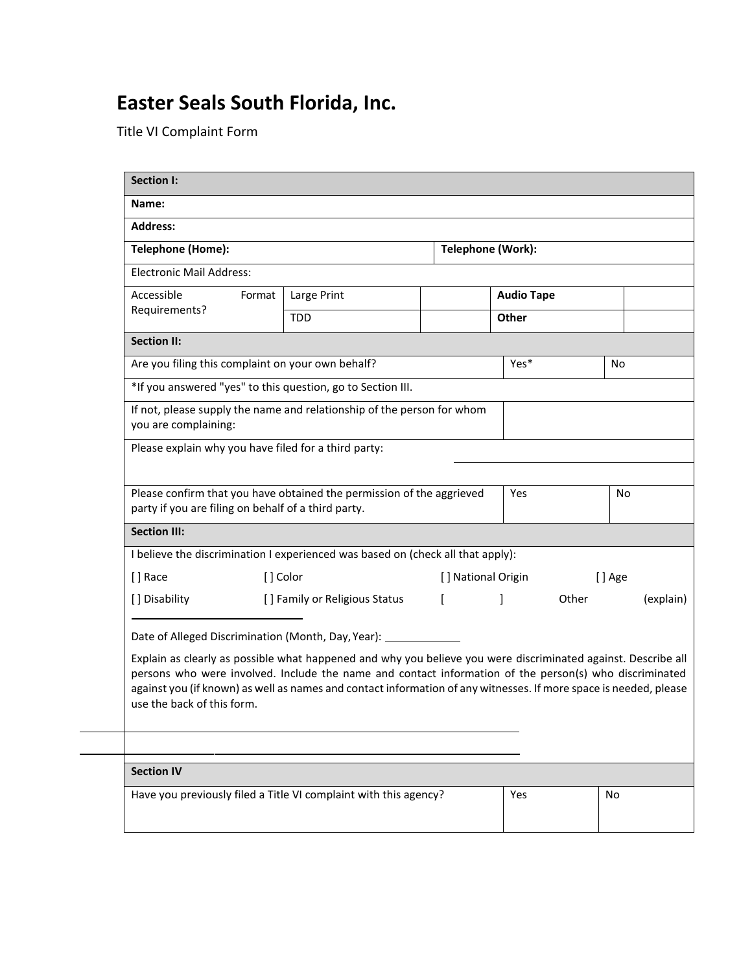## **Easter Seals South Florida, Inc.**

Title VI Complaint Form

| <b>Section I:</b>                                                                                                                                                                                                                                                                                                                                                          |                               |              |                               |                   |           |  |  |
|----------------------------------------------------------------------------------------------------------------------------------------------------------------------------------------------------------------------------------------------------------------------------------------------------------------------------------------------------------------------------|-------------------------------|--------------|-------------------------------|-------------------|-----------|--|--|
| Name:                                                                                                                                                                                                                                                                                                                                                                      |                               |              |                               |                   |           |  |  |
| <b>Address:</b>                                                                                                                                                                                                                                                                                                                                                            |                               |              |                               |                   |           |  |  |
| <b>Telephone (Home):</b>                                                                                                                                                                                                                                                                                                                                                   |                               |              | Telephone (Work):             |                   |           |  |  |
| <b>Electronic Mail Address:</b>                                                                                                                                                                                                                                                                                                                                            |                               |              |                               |                   |           |  |  |
| Accessible<br>Format<br>Requirements?                                                                                                                                                                                                                                                                                                                                      | Large Print                   |              |                               | <b>Audio Tape</b> |           |  |  |
|                                                                                                                                                                                                                                                                                                                                                                            | <b>TDD</b>                    |              | Other                         |                   |           |  |  |
| <b>Section II:</b>                                                                                                                                                                                                                                                                                                                                                         |                               |              |                               |                   |           |  |  |
| Are you filing this complaint on your own behalf?                                                                                                                                                                                                                                                                                                                          |                               |              | Yes*                          |                   | No        |  |  |
| *If you answered "yes" to this question, go to Section III.                                                                                                                                                                                                                                                                                                                |                               |              |                               |                   |           |  |  |
| If not, please supply the name and relationship of the person for whom<br>you are complaining:                                                                                                                                                                                                                                                                             |                               |              |                               |                   |           |  |  |
| Please explain why you have filed for a third party:                                                                                                                                                                                                                                                                                                                       |                               |              |                               |                   |           |  |  |
|                                                                                                                                                                                                                                                                                                                                                                            |                               |              |                               |                   |           |  |  |
| Please confirm that you have obtained the permission of the aggrieved<br>party if you are filing on behalf of a third party.                                                                                                                                                                                                                                               |                               |              | Yes                           |                   | No        |  |  |
| <b>Section III:</b>                                                                                                                                                                                                                                                                                                                                                        |                               |              |                               |                   |           |  |  |
| I believe the discrimination I experienced was based on (check all that apply):                                                                                                                                                                                                                                                                                            |                               |              |                               |                   |           |  |  |
| [] Race<br>[] Color                                                                                                                                                                                                                                                                                                                                                        |                               |              | [ ] National Origin<br>[] Age |                   |           |  |  |
| [] Disability                                                                                                                                                                                                                                                                                                                                                              | [] Family or Religious Status | $\mathbf{r}$ | 1                             | Other             | (explain) |  |  |
| Date of Alleged Discrimination (Month, Day, Year): ___________                                                                                                                                                                                                                                                                                                             |                               |              |                               |                   |           |  |  |
| Explain as clearly as possible what happened and why you believe you were discriminated against. Describe all<br>persons who were involved. Include the name and contact information of the person(s) who discriminated<br>against you (if known) as well as names and contact information of any witnesses. If more space is needed, please<br>use the back of this form. |                               |              |                               |                   |           |  |  |
|                                                                                                                                                                                                                                                                                                                                                                            |                               |              |                               |                   |           |  |  |
| <b>Section IV</b>                                                                                                                                                                                                                                                                                                                                                          |                               |              |                               |                   |           |  |  |
| Have you previously filed a Title VI complaint with this agency?                                                                                                                                                                                                                                                                                                           |                               |              | Yes                           |                   | No        |  |  |